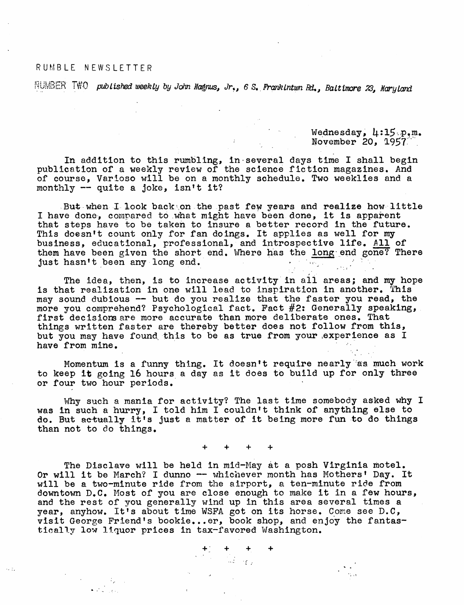## RUMBLE NEWSLETTER

 $\sim$  7.

DUMBER *T&'-O published weekly by John Magnus, Jr., 6 S. FrankIntwn Bd., Baltimore 23, Maryland*

Wednesday, 4:15 p.m. November 20, 1957

In addition to this rumbling, in several days time I shall begin publication of a weekly review of the science fiction magazines. And of course, Varioso will be on a monthly schedule. Two weeklies and a monthly  $-$  quite a joke, isn't it?

But when I look back on the past few years and realize how little I have done, compared to what might have been done, it is apparent that steps have to be taken to insure a better record in the future. This doesn't count only for fan doings. It applies as well for my business, educational, professional, and introspective life. All of them have been given the short end. Where has the long end gone? There just hasn't been any long end. • <sup>&</sup>gt; ■

The idea, then, is to increase activity in all areas; and my hope is that realization in one will lead to inspiration in another. This may sound dubious — but do you realize that the faster you read, the more you comprehend? Psychological fact. Fact #2: Generally speaking, first decisions are more accurate than more deliberate ones. That things written faster are thereby better does not follow from this, but you may have found this to be as true from your experience as I have from mine.

Momentum is a funny thing. It doesn't require nearly as much work to keep it going 16 hours a day as it does to build up for only three or four two hour periods.

Why such a mania for activity? The last time somebody asked why I was in such a hurry, I told him I couldn't think of anything else to do. But actually it's just a matter of it being more fun to do things than not to do things,

+ + + +

The Disclave will be held in mid-May at a posh Virginia motel. Or will it be March? I dunno -- whichever month has Mothers' Day. It will be a two-minute ride from the airport, a ten-minute ride from downtown D.C, Most of you are close enough to make it in a few hours, and the rest of you generally wind up in this area several times a year, anyhow. It'<sup>s</sup> about time WSFA got on its horse. Come see D.C, visit George Friend'<sup>s</sup> bookie...er, book shop, and enjoy the fantastically low liquor prices in tax-favored Washington.

 $\begin{array}{ccccc} & +1 & + & + & + \\ & \sqrt{2} & & \sqrt{2} & & \sqrt{2} \\ & \sqrt{2} & & \sqrt{2} & & \sqrt{2} & \\ & \sqrt{2} & & \sqrt{2} & & \sqrt{2} \end{array}$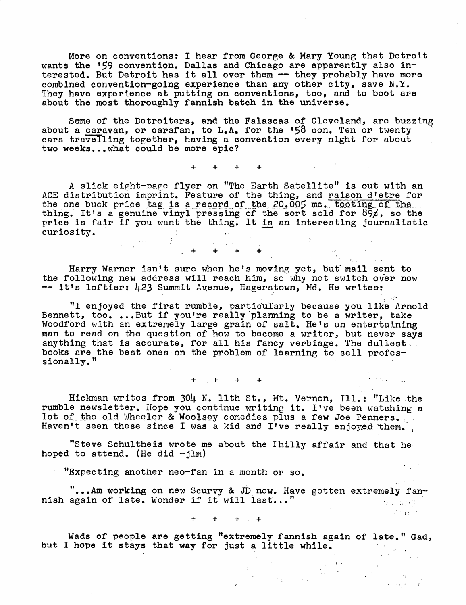More on conventions: I hear from George & Mary Young that Detroit wants the \*59 convention. Dallas and Chicago are apparently also interested. But Detroit has it all over them -- they probably have more combined convention-going experience than any other city, save  $N.Y.$ They have experience at putting on conventions, too, and to boot are about the most thoroughly fannish batch in the universe.

Some of the Detroiters, and the Falascas of Cleveland, are buzzing about a caravan, or carafan, to L.A. for the '58 con. Ten or twenty cars travelling together, having a convention every night for about two weeks...what could be more epic?

+ + + +

A slick eight-page flyer on ''The Earth Satellite" is out with an ACE distribution imprint. Feature of the thing, and raison d'etre for the one buck price tag is a record of the 20.005 mc. tooting of the thing. It's a genuine vinyl pressing of the sort sold for  $89\%$ , so the price is fair if you want the thing. It <u>is</u> an interesting journalistic curiosity.

 $\begin{array}{ccccccccc} 1 & + & & + & & + & & + & & + & & & \end{array}$ 

Harry Warner isn't sure when he's moving yet, but mail sent to the following new address will reach him, so why not switch over now -- it's loftier: 423 Summit Avenue, Hagerstown, Md. He writes:

"1 enjoyed the first rumble, particularly because you like Arnold Bennett, too. ...But if you're really planning to be a writer, take Woodford with an extremely large grain of salt. He'<sup>s</sup> an entertaining man to read on the question of how to become a writer, but never says anything that is accurate, for all his fancy verbiage. The dullest books are the best ones on the problem of learning to sell professionally."

 $+ + + +$ 

Hickman writes from 30I4. N. 11th St., Mt. Vernon, Ill.: ''Like the rumble newsletter. Hope you continue writing it. I've been watching a lot of the old Wheeler & Woolsey comedies plus a few Joe Penners. Haven't seen these since I was a kid and I've really enjoyed them.

''Steve Schultheis wrote me about the Fhilly affair and that he hoped to attend. (He did  $-jlm$ )

"Expecting another neo-fan in a month or so.

"...Am working on new Scurvy & JD how. Have gotten extremely fannish again of late. Wonder if it will last..." in in sala 19

 $\label{eq:2} \mathcal{L}^{\text{max}}_{\text{max}} = \mathcal{L}^{\text{max}}_{\text{max}}$ 

sa en l

+ + + +

Wads of people are getting "extremely fannish again of late." Gad, but I hope it stays that way for just a little while.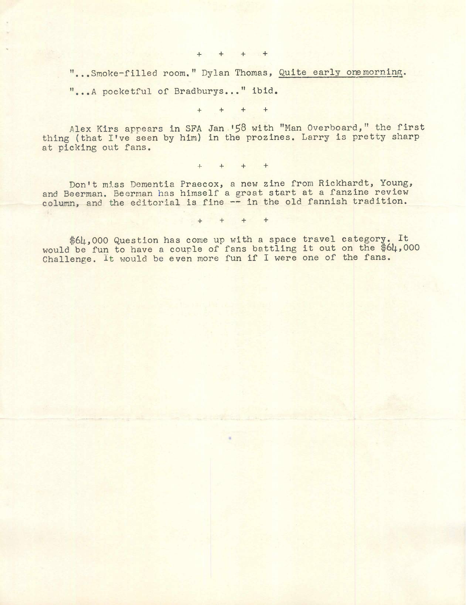+ + + +

"...Smoke-filled room." Dylan Thomas, Quite early one morning.

"...A pocketful of Bradburys... " ibid.

 $+$   $+$   $+$   $+$ 

Alex Kirs appears in SFA Jan '58 with "Man Overboard," the first thing (that I've seen by him) in the prozines. Larry is pretty sharp at picking out fans.

 $+$   $+$   $+$   $+$ 

Don't miss Dementia Praecox, a new zine from Rickhardt, Young, and Beerman. Beerman has himself a great start at a fanzine review column, and the editorial is fine — in the old fannish tradition.

 $4 + 4 + 4 + 4$ 

\$64,000 Question has come up with a space travel category. It would be fun to have a couple of fans battling it out on the \$64,000 Challenge. It would be even more fun if I were one of the fans.